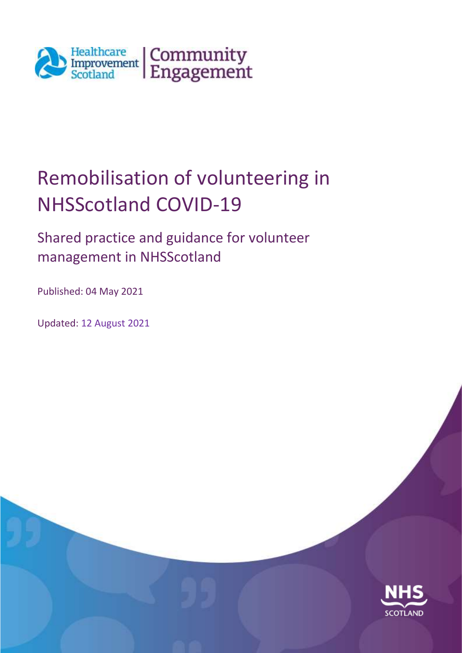

# Remobilisation of volunteering in NHSScotland COVID-19

Shared practice and guidance for volunteer management in NHSScotland

Published: 04 May 2021

Updated: 12 August 2021

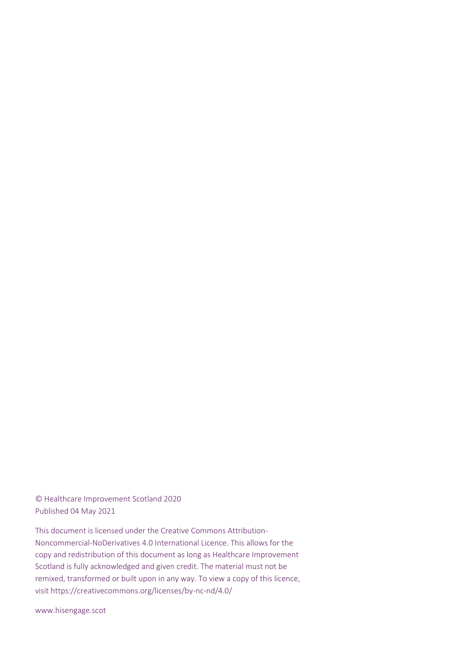© Healthcare Improvement Scotland 2020 Published 04 May 2021

This document is licensed under the Creative Commons Attribution-Noncommercial-NoDerivatives 4.0 International Licence. This allows for the copy and redistribution of this document as long as Healthcare Improvement Scotland is fully acknowledged and given credit. The material must not be remixed, transformed or built upon in any way. To view a copy of this licence, visit https://creativecommons.org/licenses/by-nc-nd/4.0/

www.hisengage.scot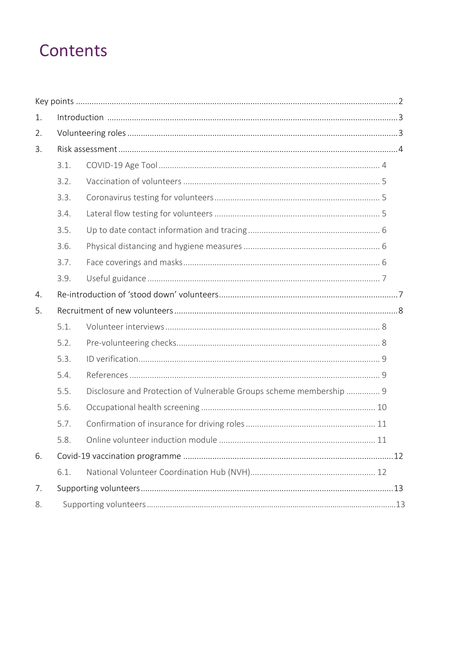## Contents

<span id="page-2-0"></span>

| 1. |      |                                                                     |
|----|------|---------------------------------------------------------------------|
| 2. |      |                                                                     |
| 3. |      |                                                                     |
|    | 3.1. |                                                                     |
|    | 3.2. |                                                                     |
|    | 3.3. |                                                                     |
|    | 3.4. |                                                                     |
|    | 3.5. |                                                                     |
|    | 3.6. |                                                                     |
|    | 3.7. |                                                                     |
|    | 3.9. |                                                                     |
| 4. |      |                                                                     |
| 5. |      |                                                                     |
|    | 5.1. |                                                                     |
|    | 5.2. |                                                                     |
|    | 5.3. |                                                                     |
|    | 5.4. |                                                                     |
|    | 5.5. | Disclosure and Protection of Vulnerable Groups scheme membership  9 |
|    | 5.6. |                                                                     |
|    | 5.7. |                                                                     |
|    | 58   | Online volunteer induction module<br>11                             |
| 6. |      |                                                                     |
|    | 6.1. |                                                                     |
| 7. |      |                                                                     |
| 8. |      |                                                                     |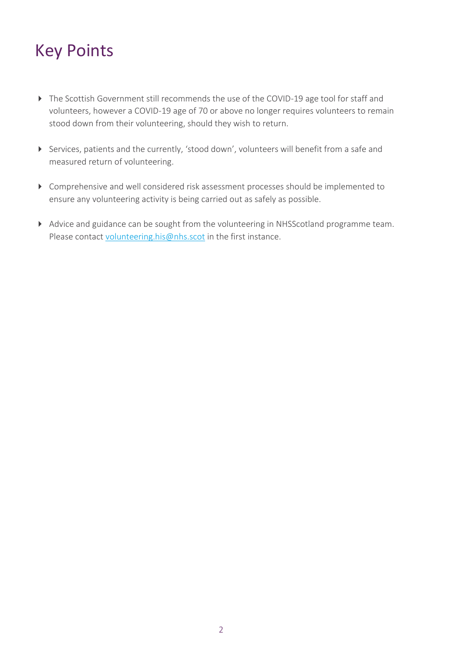# Key Points

- The Scottish Government still recommends the use of the COVID-19 age tool for staff and volunteers, however a COVID-19 age of 70 or above no longer requires volunteers to remain stood down from their volunteering, should they wish to return.
- Services, patients and the currently, 'stood down', volunteers will benefit from a safe and measured return of volunteering.
- Comprehensive and well considered risk assessment processes should be implemented to ensure any volunteering activity is being carried out as safely as possible.
- Advice and guidance can be sought from the volunteering in NHSScotland programme team. Please contact [volunteering.his@nhs.scot](mailto:volunteering.his@nhs.scot) in the first instance.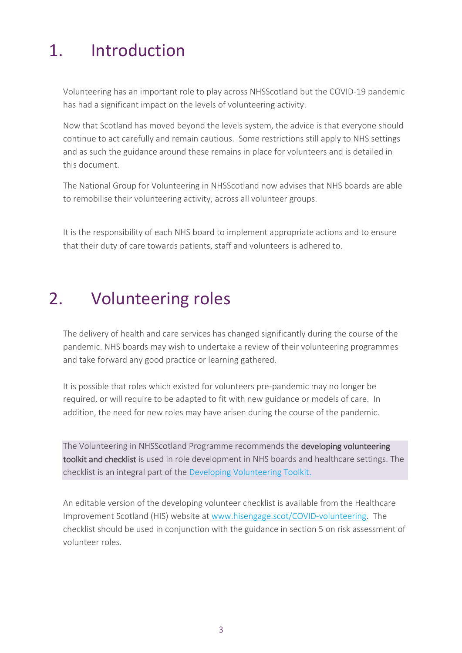### <span id="page-4-0"></span>1. Introduction

Volunteering has an important role to play across NHSScotland but the COVID-19 pandemic has had a significant impact on the levels of volunteering activity.

Now that Scotland has moved beyond the levels system, the advice is that everyone should continue to act carefully and remain cautious. Some restrictions still apply to NHS settings and as such the guidance around these remains in place for volunteers and is detailed in this document.

The National Group for Volunteering in NHSScotland now advises that NHS boards are able to remobilise their volunteering activity, across all volunteer groups.

It is the responsibility of each NHS board to implement appropriate actions and to ensure that their duty of care towards patients, staff and volunteers is adhered to.

### <span id="page-4-1"></span>2. Volunteering roles

The delivery of health and care services has changed significantly during the course of the pandemic. NHS boards may wish to undertake a review of their volunteering programmes and take forward any good practice or learning gathered.

It is possible that roles which existed for volunteers pre-pandemic may no longer be required, or will require to be adapted to fit with new guidance or models of care. In addition, the need for new roles may have arisen during the course of the pandemic.

The Volunteering in NHSScotland Programme recommends the developing volunteering toolkit and checklist is used in role development in NHS boards and healthcare settings. The checklist is an integral part of the [Developing Volunteering Toolkit.](https://www.hisengage.scot/equipping-professionals/volunteering-in-nhs-scotland/guidance-and-publications/developing-volunteering-toolkit/)

An editable version of the developing volunteer checklist is available from the Healthcare Improvement Scotland (HIS) website at [www.hisengage.scot/COVID-volunteering.](http://www.hisengage.scot/COVID-volunteering) The checklist should be used in conjunction with the guidance in section 5 on risk assessment of volunteer roles.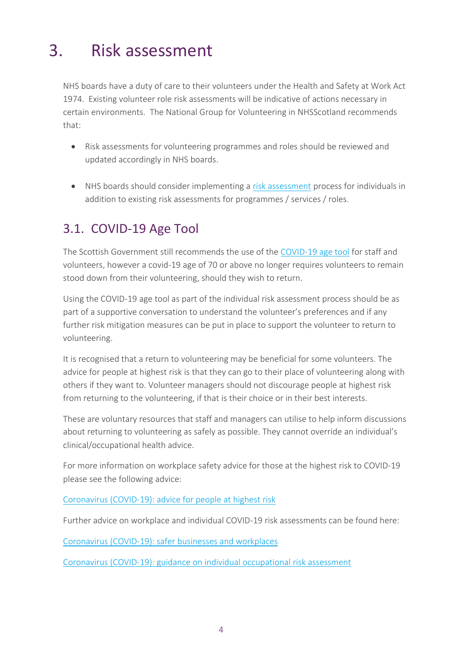# <span id="page-5-0"></span>3. Risk assessment

NHS boards have a duty of care to their volunteers under the Health and Safety at Work Act 1974. Existing volunteer role risk assessments will be indicative of actions necessary in certain environments. The National Group for Volunteering in NHSScotland recommends that:

- Risk assessments for volunteering programmes and roles should be reviewed and updated accordingly in NHS boards.
- NHS boards should consider implementing a [risk assessment](https://www.hisengage.scot/equipping-professionals/volunteering-in-nhs-scotland/guidance-and-publications/covid-19-risk-assessment-framework/) process for individuals in addition to existing risk assessments for programmes / services / roles.

#### <span id="page-5-1"></span>3.1. COVID-19 Age Tool

The Scottish Government still recommends the use of the [COVID-19 age tool](https://alama.org.uk/covid-19-medical-risk-assessment/) for staff and volunteers, however a covid-19 age of 70 or above no longer requires volunteers to remain stood down from their volunteering, should they wish to return.

Using the COVID-19 age tool as part of the individual risk assessment process should be as part of a supportive conversation to understand the volunteer's preferences and if any further risk mitigation measures can be put in place to support the volunteer to return to volunteering.

It is recognised that a return to volunteering may be beneficial for some volunteers. The advice for people at highest risk is that they can go to their place of volunteering along with others if they want to. Volunteer managers should not discourage people at highest risk from returning to the volunteering, if that is their choice or in their best interests.

These are voluntary resources that staff and managers can utilise to help inform discussions about returning to volunteering as safely as possible. They cannot override an individual's clinical/occupational health advice.

For more information on workplace safety advice for those at the highest risk to COVID-19 please see the following advice:

[Coronavirus \(COVID-19\): advice for people at highest risk](https://www.gov.scot/publications/covid-highest-risk/)

Further advice on workplace and individual COVID-19 risk assessments can be found here:

[Coronavirus \(COVID-19\): safer businesses and workplaces](https://www.gov.scot/publications/coronavirus-covid-19-general-guidance-for-safer-workplaces/)

[Coronavirus \(COVID-19\): guidance on individual occupational risk assessment](https://www.gov.scot/publications/coronavirus-covid-19-guidance-on-individual-risk-assessment-for-the-workplace/)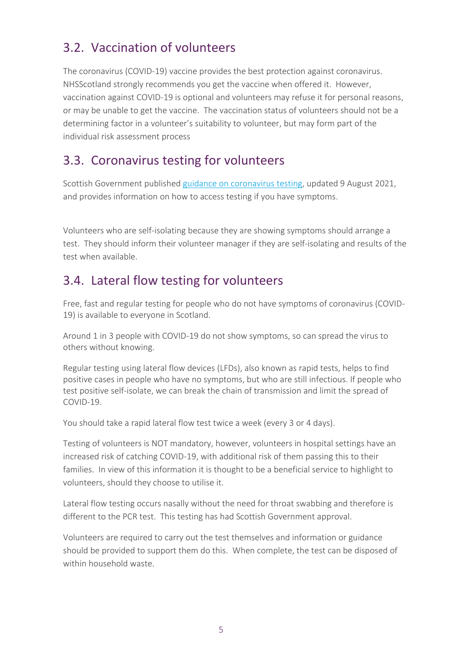#### <span id="page-6-0"></span>3.2. Vaccination of volunteers

The coronavirus (COVID-19) vaccine provides the best protection against coronavirus. NHSScotland strongly recommends you get the vaccine when offered it. However, vaccination against COVID-19 is optional and volunteers may refuse it for personal reasons, or may be unable to get the vaccine. The vaccination status of volunteers should not be a determining factor in a volunteer's suitability to volunteer, but may form part of the individual risk assessment process

#### <span id="page-6-1"></span>3.3. Coronavirus testing for volunteers

Scottish Government publishe[d guidance on coronavirus testing,](https://www.gov.scot/publications/coronavirus-covid-19-getting-tested/pages/covid-symptoms/) updated 9 August 2021, and provides information on how to access testing if you have symptoms.

Volunteers who are self-isolating because they are showing symptoms should arrange a test. They should inform their volunteer manager if they are self-isolating and results of the test when available.

#### <span id="page-6-2"></span>3.4. Lateral flow testing for volunteers

Free, fast and regular testing for people who do not have symptoms of coronavirus (COVID-19) is available to everyone in Scotland.

Around 1 in 3 people with COVID-19 do not show symptoms, so can spread the virus to others without knowing.

Regular testing using lateral flow devices (LFDs), also known as rapid tests, helps to find positive cases in people who have no symptoms, but who are still infectious. If people who test positive self-isolate, we can break the chain of transmission and limit the spread of COVID-19.

You should take a rapid lateral flow test twice a week (every 3 or 4 days).

Testing of volunteers is NOT mandatory, however, volunteers in hospital settings have an increased risk of catching COVID-19, with additional risk of them passing this to their families. In view of this information it is thought to be a beneficial service to highlight to volunteers, should they choose to utilise it.

Lateral flow testing occurs nasally without the need for throat swabbing and therefore is different to the PCR test. This testing has had Scottish Government approval.

Volunteers are required to carry out the test themselves and information or guidance should be provided to support them do this. When complete, the test can be disposed of within household waste.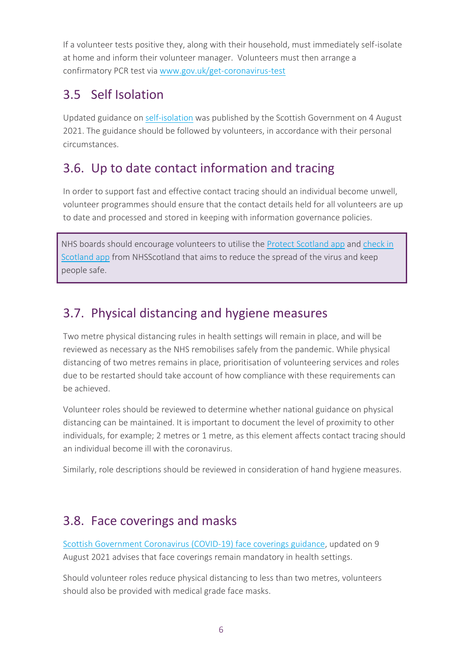If a volunteer tests positive they, along with their household, must immediately self-isolate at home and inform their volunteer manager. Volunteers must then arrange a confirmatory PCR test via [www.gov.uk/get-coronavirus-test](https://www.gov.uk/get-coronavirus-test)

#### <span id="page-7-0"></span>3.5 Self Isolation

Updated guidance on [self-isolation](https://www.gov.scot/publications/coronavirus-covid-19-test-and-protect/) was published by the Scottish Government on 4 August 2021. The guidance should be followed by volunteers, in accordance with their personal circumstances.

#### 3.6. Up to date contact information and tracing

In order to support fast and effective contact tracing should an individual become unwell, volunteer programmes should ensure that the contact details held for all volunteers are up to date and processed and stored in keeping with information governance policies.

NHS boards should encourage volunteers to utilise the [Protect Scotland app](https://protect.scot/) and [check in](https://www.mygov.scot/help-qr-check-in)  [Scotland app](https://www.mygov.scot/help-qr-check-in) from NHSScotland that aims to reduce the spread of the virus and keep people safe.

#### <span id="page-7-1"></span>3.7. Physical distancing and hygiene measures

Two metre physical distancing rules in health settings will remain in place, and will be reviewed as necessary as the NHS remobilises safely from the pandemic. While physical distancing of two metres remains in place, prioritisation of volunteering services and roles due to be restarted should take account of how compliance with these requirements can be achieved.

Volunteer roles should be reviewed to determine whether national guidance on physical distancing can be maintained. It is important to document the level of proximity to other individuals, for example; 2 metres or 1 metre, as this element affects contact tracing should an individual become ill with the coronavirus.

Similarly, role descriptions should be reviewed in consideration of hand hygiene measures.

#### <span id="page-7-2"></span>3.8. Face coverings and masks

[Scottish Government Coronavirus \(COVID-19\) face coverings guidance,](https://www.gov.scot/publications/coronavirus-covid-19-public-use-of-face-coverings/) updated on 9 August 2021 advises that face coverings remain mandatory in health settings.

Should volunteer roles reduce physical distancing to less than two metres, volunteers should also be provided with medical grade face masks.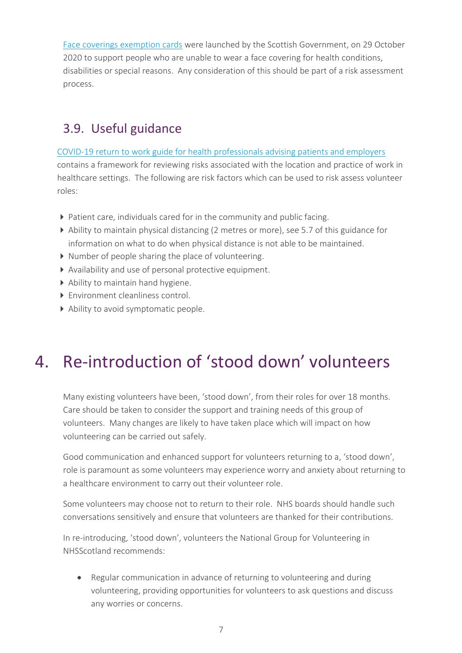[Face coverings exemption cards](https://www.gov.scot/news/face-covering-exemption-cards-launched/) were launched by the Scottish Government, on 29 October 2020 to support people who are unable to wear a face covering for health conditions, disabilities or special reasons. Any consideration of this should be part of a risk assessment process.

#### <span id="page-8-0"></span>3.9. Useful guidance

[COVID-19 return to work guide for health professionals advising patients and employers](https://alama.org.uk/wp-content/uploads/2020/05/SOM_RTW_guide_health_professionals_COVID-19_FINAL.pdf) contains a framework for reviewing risks associated with the location and practice of work in healthcare settings. The following are risk factors which can be used to risk assess volunteer

roles:

- Patient care, individuals cared for in the community and public facing.
- Ability to maintain physical distancing (2 metres or more), see 5.7 of this guidance for information on what to do when physical distance is not able to be maintained.
- Number of people sharing the place of volunteering.
- Availability and use of personal protective equipment.
- Ability to maintain hand hygiene.
- ▶ Environment cleanliness control.
- Ability to avoid symptomatic people.

# <span id="page-8-1"></span>4. Re-introduction of 'stood down' volunteers

Many existing volunteers have been, 'stood down', from their roles for over 18 months. Care should be taken to consider the support and training needs of this group of volunteers. Many changes are likely to have taken place which will impact on how volunteering can be carried out safely.

Good communication and enhanced support for volunteers returning to a, 'stood down', role is paramount as some volunteers may experience worry and anxiety about returning to a healthcare environment to carry out their volunteer role.

Some volunteers may choose not to return to their role. NHS boards should handle such conversations sensitively and ensure that volunteers are thanked for their contributions.

In re-introducing, 'stood down', volunteers the National Group for Volunteering in NHSScotland recommends:

 Regular communication in advance of returning to volunteering and during volunteering, providing opportunities for volunteers to ask questions and discuss any worries or concerns.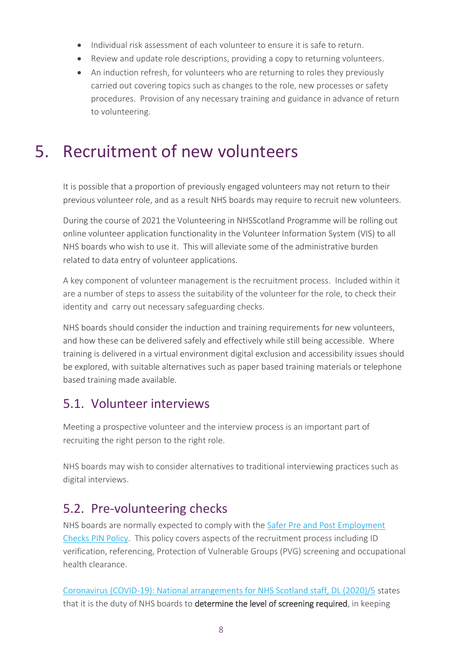- Individual risk assessment of each volunteer to ensure it is safe to return.
- Review and update role descriptions, providing a copy to returning volunteers.
- An induction refresh, for volunteers who are returning to roles they previously carried out covering topics such as changes to the role, new processes or safety procedures. Provision of any necessary training and guidance in advance of return to volunteering.

## <span id="page-9-0"></span>5. Recruitment of new volunteers

It is possible that a proportion of previously engaged volunteers may not return to their previous volunteer role, and as a result NHS boards may require to recruit new volunteers.

During the course of 2021 the Volunteering in NHSScotland Programme will be rolling out online volunteer application functionality in the Volunteer Information System (VIS) to all NHS boards who wish to use it. This will alleviate some of the administrative burden related to data entry of volunteer applications.

A key component of volunteer management is the recruitment process. Included within it are a number of steps to assess the suitability of the volunteer for the role, to check their identity and carry out necessary safeguarding checks.

NHS boards should consider the induction and training requirements for new volunteers, and how these can be delivered safely and effectively while still being accessible. Where training is delivered in a virtual environment digital exclusion and accessibility issues should be explored, with suitable alternatives such as paper based training materials or telephone based training made available.

#### <span id="page-9-1"></span>5.1. Volunteer interviews

Meeting a prospective volunteer and the interview process is an important part of recruiting the right person to the right role.

NHS boards may wish to consider alternatives to traditional interviewing practices such as digital interviews.

#### <span id="page-9-2"></span>5.2. Pre-volunteering checks

NHS boards are normally expected to comply with the [Safer Pre and Post Employment](https://www.gov.scot/publications/safer-pre-post-employment-checks-nhsscotland-pin-policy/)  [Checks PIN Policy.](https://www.gov.scot/publications/safer-pre-post-employment-checks-nhsscotland-pin-policy/) This policy covers aspects of the recruitment process including ID verification, referencing, Protection of Vulnerable Groups (PVG) screening and occupational health clearance.

[Coronavirus \(COVID-19\): National arrangements for NHS Scotland staff, DL \(2020\)/5](https://www.sehd.scot.nhs.uk/dl/DL(2020)05.pdf) states that it is the duty of NHS boards to determine the level of screening required, in keeping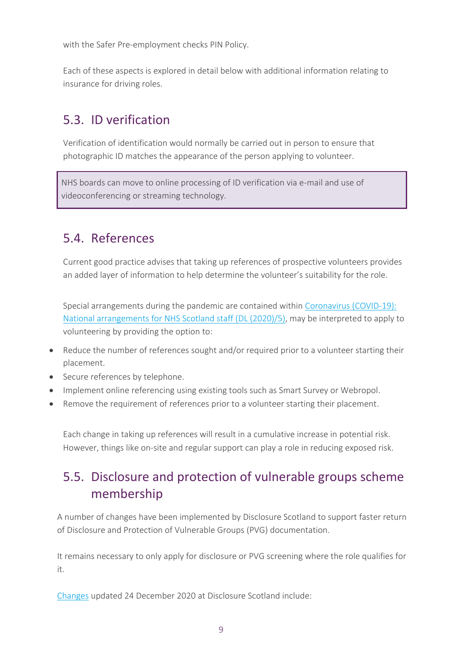with the Safer Pre-employment checks PIN Policy.

Each of these aspects is explored in detail below with additional information relating to insurance for driving roles.

#### <span id="page-10-0"></span>5.3. ID verification

Verification of identification would normally be carried out in person to ensure that photographic ID matches the appearance of the person applying to volunteer.

NHS boards can move to online processing of ID verification via e-mail and use of videoconferencing or streaming technology.

#### <span id="page-10-1"></span>5.4. References

Current good practice advises that taking up references of prospective volunteers provides an added layer of information to help determine the volunteer's suitability for the role.

Special arrangements during the pandemic are contained within [Coronavirus \(COVID-19\):](https://www.sehd.scot.nhs.uk/dl/DL(2020)05.pdf)  [National arrangements for NHS Scotland staff \(DL \(2020\)/5\),](https://www.sehd.scot.nhs.uk/dl/DL(2020)05.pdf) may be interpreted to apply to volunteering by providing the option to:

- Reduce the number of references sought and/or required prior to a volunteer starting their placement.
- Secure references by telephone.
- Implement online referencing using existing tools such as Smart Survey or Webropol.
- Remove the requirement of references prior to a volunteer starting their placement.

Each change in taking up references will result in a cumulative increase in potential risk. However, things like on-site and regular support can play a role in reducing exposed risk.

### <span id="page-10-2"></span>5.5. Disclosure and protection of vulnerable groups scheme membership

A number of changes have been implemented by Disclosure Scotland to support faster return of Disclosure and Protection of Vulnerable Groups (PVG) documentation.

It remains necessary to only apply for disclosure or PVG screening where the role qualifies for it.

[Changes](https://www.mygov.scot/coronavirus-disclosure/) updated 24 December 2020 at Disclosure Scotland include: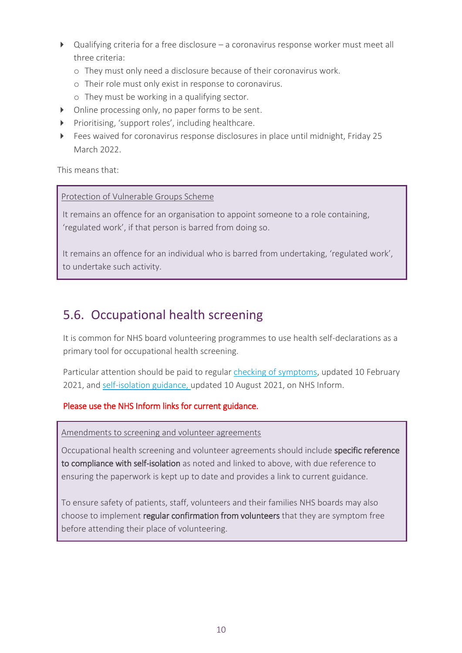- Qualifying criteria for a free disclosure a coronavirus response worker must meet all three criteria:
	- o They must only need a disclosure because of their coronavirus work.
	- o Their role must only exist in response to coronavirus.
	- o They must be working in a qualifying sector.
- Online processing only, no paper forms to be sent.
- Prioritising, 'support roles', including healthcare.
- Fees waived for coronavirus response disclosures in place until midnight, Friday 25 March 2022.

This means that:

#### Protection of Vulnerable Groups Scheme

It remains an offence for an organisation to appoint someone to a role containing, 'regulated work', if that person is barred from doing so.

It remains an offence for an individual who is barred from undertaking, 'regulated work', to undertake such activity.

#### <span id="page-11-0"></span>5.6. Occupational health screening

It is common for NHS board volunteering programmes to use health self-declarations as a primary tool for occupational health screening.

Particular attention should be paid to regular [checking of symptoms,](https://www.nhsinform.scot/self-help-guides/self-help-guide-coronavirus-covid-19) updated 10 February 2021, and [self-isolation guidance,](https://www.nhsinform.scot/illnesses-and-conditions/infections-and-poisoning/coronavirus-covid-19/coronavirus-covid-19-guidance-for-households-with-possible-coronavirus-infection) updated 10 August 2021, on NHS Inform.

#### Please use the NHS Inform links for current guidance.

Amendments to screening and volunteer agreements

Occupational health screening and volunteer agreements should include specific reference to compliance with self-isolation as noted and linked to above, with due reference to ensuring the paperwork is kept up to date and provides a link to current guidance.

To ensure safety of patients, staff, volunteers and their families NHS boards may also choose to implement regular confirmation from volunteers that they are symptom free before attending their place of volunteering.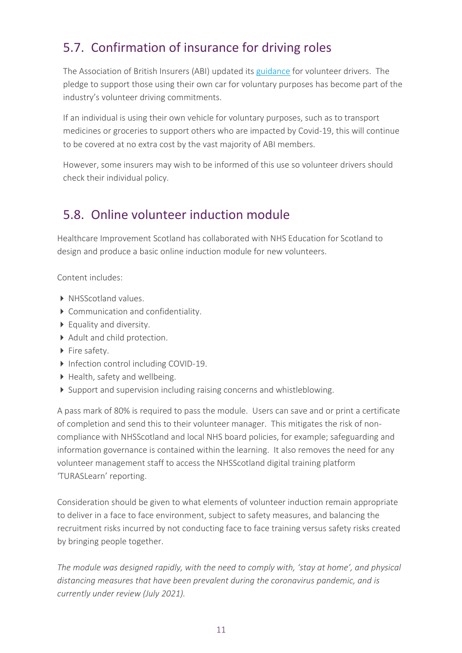### <span id="page-12-0"></span>5.7. Confirmation of insurance for driving roles

The Association of British Insurers (ABI) updated its [guidance](https://www.abi.org.uk/products-and-issues/topics-and-issues/coronavirus-hub/motor-insurance/) for volunteer drivers. The pledge to support those using their own car for voluntary purposes has become part of the industry's volunteer driving commitments.

If an individual is using their own vehicle for voluntary purposes, such as to transport medicines or groceries to support others who are impacted by Covid-19, this will continue to be covered at no extra cost by the vast majority of ABI members.

However, some insurers may wish to be informed of this use so volunteer drivers should check their individual policy.

#### <span id="page-12-1"></span>5.8. Online volunteer induction module

Healthcare Improvement Scotland has collaborated with NHS Education for Scotland to design and produce a basic online induction module for new volunteers.

Content includes:

- NHSScotland values.
- Communication and confidentiality.
- ▶ Equality and diversity.
- Adult and child protection.
- Fire safety.
- Infection control including COVID-19.
- $\blacktriangleright$  Health, safety and wellbeing.
- Support and supervision including raising concerns and whistleblowing.

A pass mark of 80% is required to pass the module. Users can save and or print a certificate of completion and send this to their volunteer manager. This mitigates the risk of noncompliance with NHSScotland and local NHS board policies, for example; safeguarding and information governance is contained within the learning. It also removes the need for any volunteer management staff to access the NHSScotland digital training platform 'TURASLearn' reporting.

Consideration should be given to what elements of volunteer induction remain appropriate to deliver in a face to face environment, subject to safety measures, and balancing the recruitment risks incurred by not conducting face to face training versus safety risks created by bringing people together.

*The module was designed rapidly, with the need to comply with, 'stay at home', and physical distancing measures that have been prevalent during the coronavirus pandemic, and is currently under review (July 2021).*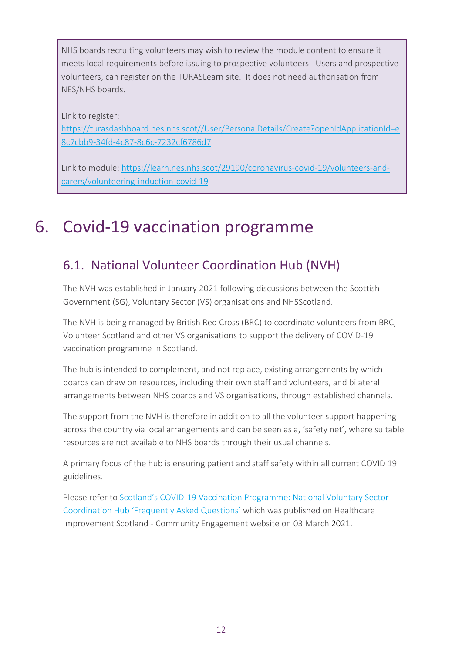NHS boards recruiting volunteers may wish to review the module content to ensure it meets local requirements before issuing to prospective volunteers. Users and prospective volunteers, can register on the TURASLearn site. It does not need authorisation from NES/NHS boards.

Link to register:

[https://turasdashboard.nes.nhs.scot//User/PersonalDetails/Create?openIdApplicationId=e](https://turasdashboard.nes.nhs.scot/User/PersonalDetails/Create?openIdApplicationId=e8c7cbb9-34fd-4c87-8c6c-7232cf6786d7) [8c7cbb9-34fd-4c87-8c6c-7232cf6786d7](https://turasdashboard.nes.nhs.scot/User/PersonalDetails/Create?openIdApplicationId=e8c7cbb9-34fd-4c87-8c6c-7232cf6786d7)

Link to module: [https://learn.nes.nhs.scot/29190/coronavirus-covid-19/volunteers-and](https://learn.nes.nhs.scot/29190/coronavirus-covid-19/volunteers-and-carers/volunteering-induction-covid-19)[carers/volunteering-induction-covid-19](https://learn.nes.nhs.scot/29190/coronavirus-covid-19/volunteers-and-carers/volunteering-induction-covid-19)

## <span id="page-13-0"></span>6. Covid-19 vaccination programme

#### <span id="page-13-1"></span>6.1. National Volunteer Coordination Hub (NVH)

The NVH was established in January 2021 following discussions between the Scottish Government (SG), Voluntary Sector (VS) organisations and NHSScotland.

The NVH is being managed by British Red Cross (BRC) to coordinate volunteers from BRC, Volunteer Scotland and other VS organisations to support the delivery of COVID-19 vaccination programme in Scotland.

The hub is intended to complement, and not replace, existing arrangements by which boards can draw on resources, including their own staff and volunteers, and bilateral arrangements between NHS boards and VS organisations, through established channels.

The support from the NVH is therefore in addition to all the volunteer support happening across the country via local arrangements and can be seen as a, 'safety net', where suitable resources are not available to NHS boards through their usual channels.

A primary focus of the hub is ensuring patient and staff safety within all current COVID 19 guidelines.

Please refer to Scotland's COVID[-19 Vaccination Programme: National Voluntary Sector](https://www.hisengage.scot/equipping-professionals/volunteering-in-nhs-scotland/guidance-and-publications/faq-national-volunteer-coordination-hub-covid-19-vaccination-programme/)  [Coordination Hub 'Frequently Asked Questions'](https://www.hisengage.scot/equipping-professionals/volunteering-in-nhs-scotland/guidance-and-publications/faq-national-volunteer-coordination-hub-covid-19-vaccination-programme/) which was published on Healthcare Improvement Scotland - Community Engagement website on 03 March 2021.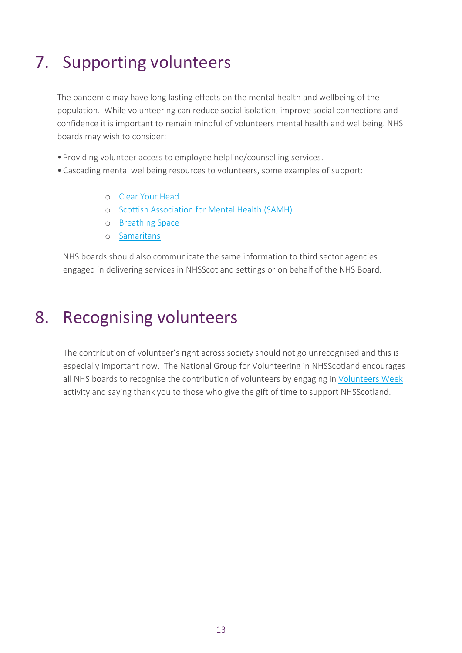# <span id="page-14-0"></span>7. Supporting volunteers

The pandemic may have long lasting effects on the mental health and wellbeing of the population. While volunteering can reduce social isolation, improve social connections and confidence it is important to remain mindful of volunteers mental health and wellbeing. NHS boards may wish to consider:

- Providing volunteer access to employee helpline/counselling services.
- Cascading mental wellbeing resources to volunteers, some examples of support:
	- o [Clear Your Head](https://clearyourhead.scot/)
	- o [Scottish Association for Mental Health \(SAMH\)](https://www.samh.org.uk/)
	- o [Breathing Space](https://breathingspace.scot/need-help-now/)
	- o [Samaritans](https://www.samaritans.org/scotland/how-we-can-help/)

NHS boards should also communicate the same information to third sector agencies engaged in delivering services in NHSScotland settings or on behalf of the NHS Board.

### 8. Recognising volunteers

The contribution of volunteer's right across society should not go unrecognised and this is especially important now. The National Group for Volunteering in NHSScotland encourages all NHS boards to recognise the contribution of volunteers by engaging in [Volunteers Week](https://volunteersweek.org/) activity and saying thank you to those who give the gift of time to support NHSScotland.